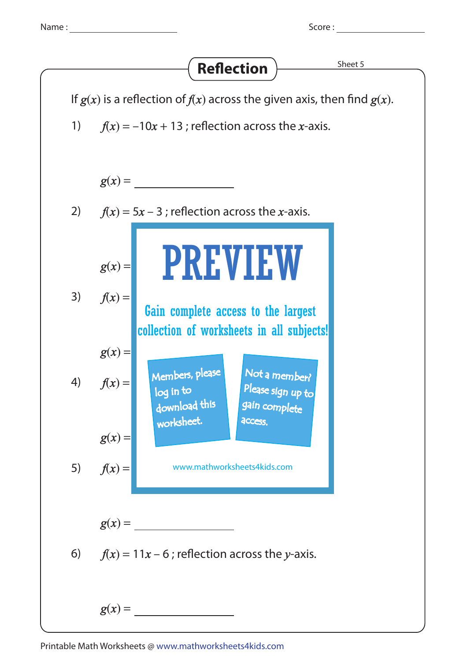